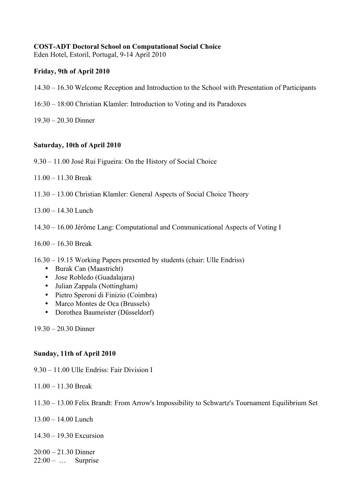### **COST-ADT Doctoral School on Computational Social Choice**

Eden Hotel, Estoril, Portugal, 9-14 April 2010

## **Friday, 9th of April 2010**

- 14.30 16.30 Welcome Reception and Introduction to the School with Presentation of Participants
- 16:30 18:00 Christian Klamler: Introduction to Voting and its Paradoxes
- 19.30 20.30 Dinner

## **Saturday, 10th of April 2010**

- 9.30 11.00 José Rui Figueira: On the History of Social Choice
- 11.00 11.30 Break
- 11.30 13.00 Christian Klamler: General Aspects of Social Choice Theory
- 13.00 14.30 Lunch
- 14.30 16.00 Jérôme Lang: Computational and Communicational Aspects of Voting I
- 16.00 16.30 Break
- 16.30 19.15 Working Papers presented by students (chair: Ulle Endriss)
	- Burak Can (Maastricht)
	- Jose Robledo (Guadalajara)
	- Julian Zappala (Nottingham)
	- Pietro Speroni di Finizio (Coimbra)
	- Marco Montes de Oca (Brussels)
	- Dorothea Baumeister (Düsseldorf)

19.30 – 20.30 Dinner

### **Sunday, 11th of April 2010**

9.30 – 11.00 Ulle Endriss: Fair Division I

- 11.00 11.30 Break
- 11.30 13.00 Felix Brandt: From Arrow's Impossibility to Schwartz's Tournament Equilibrium Set
- 13.00 14.00 Lunch
- 14.30 19.30 Excursion

20:00 – 21.30 Dinner  $22:00 - \dots$  Surprise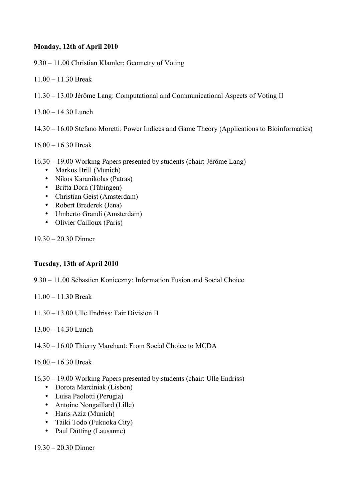## **Monday, 12th of April 2010**

9.30 – 11.00 Christian Klamler: Geometry of Voting

- 11.00 11.30 Break
- 11.30 13.00 Jérôme Lang: Computational and Communicational Aspects of Voting II
- 13.00 14.30 Lunch
- 14.30 16.00 Stefano Moretti: Power Indices and Game Theory (Applications to Bioinformatics)
- 16.00 16.30 Break
- 16.30 19.00 Working Papers presented by students (chair: Jérôme Lang)
	- Markus Brill (Munich)
	- Nikos Karanikolas (Patras)
	- Britta Dorn (Tübingen)
	- Christian Geist (Amsterdam)
	- Robert Brederek (Jena)
	- Umberto Grandi (Amsterdam)
	- Olivier Cailloux (Paris)

19.30 – 20.30 Dinner

### **Tuesday, 13th of April 2010**

- 9.30 11.00 Sébastien Konieczny: Information Fusion and Social Choice
- 11.00 11.30 Break
- 11.30 13.00 Ulle Endriss: Fair Division II
- 13.00 14.30 Lunch
- 14.30 16.00 Thierry Marchant: From Social Choice to MCDA
- 16.00 16.30 Break
- 16.30 19.00 Working Papers presented by students (chair: Ulle Endriss)
	- Dorota Marciniak (Lisbon)
	- Luisa Paolotti (Perugia)
	- Antoine Nongaillard (Lille)
	- Haris Aziz (Munich)
	- Taiki Todo (Fukuoka City)
	- Paul Dütting (Lausanne)

19.30 – 20.30 Dinner